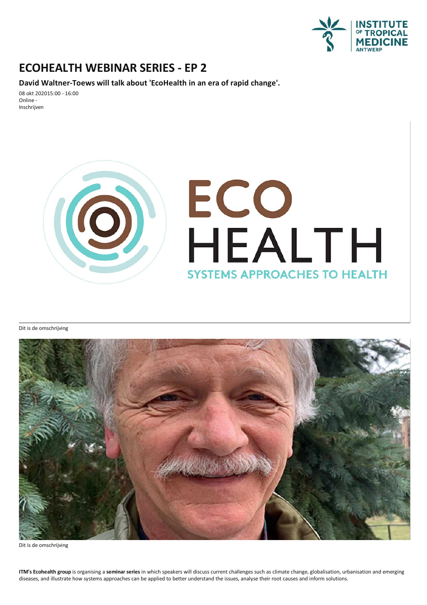

## **ECOHEALTH WEBINAR SERIES-EP 2**

**David Waltner-Toews will talk about 'EcoHealth in an era of rapid change'.**

08 okt 202015:00 - 16:00 Online - Inschrijven



Dit is de omschrijving



Dit is de omschrijving

**ITM's Ecohealth group** is organising a seminar series in which speakers will discuss current challenges such as climate change, globalisation, urbanisation and emerging diseases, and illustrate how systems approaches can be applied to better understand the issues, analyse their root causes and inform solutions.